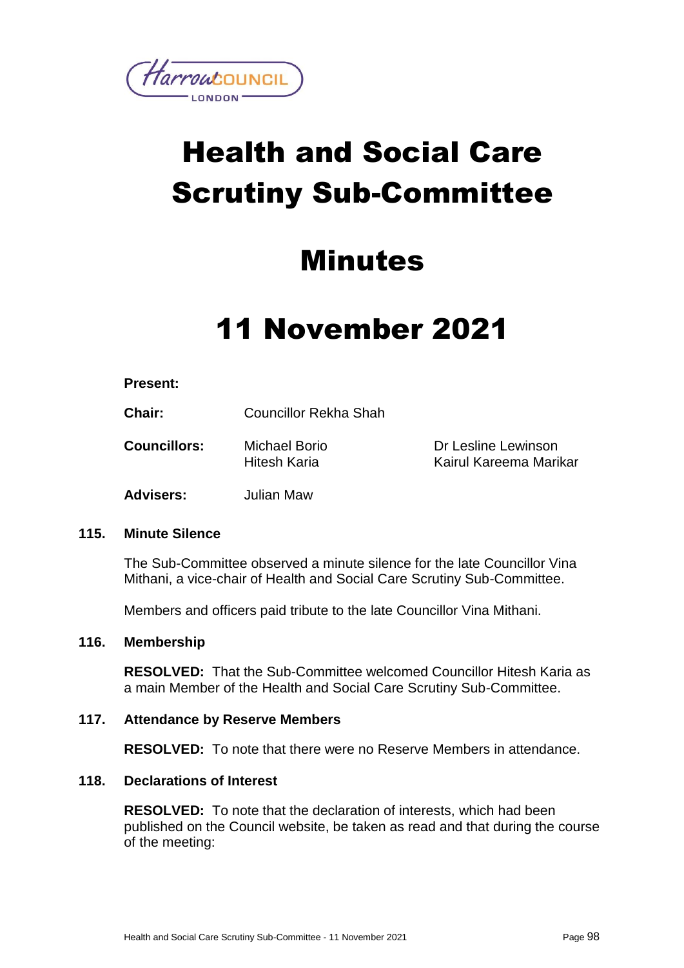

# Health and Social Care Scrutiny Sub-Committee

### Minutes

## 11 November 2021

#### **Present:**

**Chair:** Councillor Rekha Shah

**Councillors:** Michael Borio Hitesh Karia

Dr Lesline Lewinson Kairul Kareema Marikar

**Advisers:** Julian Maw

#### **115. Minute Silence**

The Sub-Committee observed a minute silence for the late Councillor Vina Mithani, a vice-chair of Health and Social Care Scrutiny Sub-Committee.

Members and officers paid tribute to the late Councillor Vina Mithani.

#### **116. Membership**

**RESOLVED:** That the Sub-Committee welcomed Councillor Hitesh Karia as a main Member of the Health and Social Care Scrutiny Sub-Committee.

#### **117. Attendance by Reserve Members**

**RESOLVED:** To note that there were no Reserve Members in attendance.

#### **118. Declarations of Interest**

**RESOLVED:** To note that the declaration of interests, which had been published on the Council website, be taken as read and that during the course of the meeting: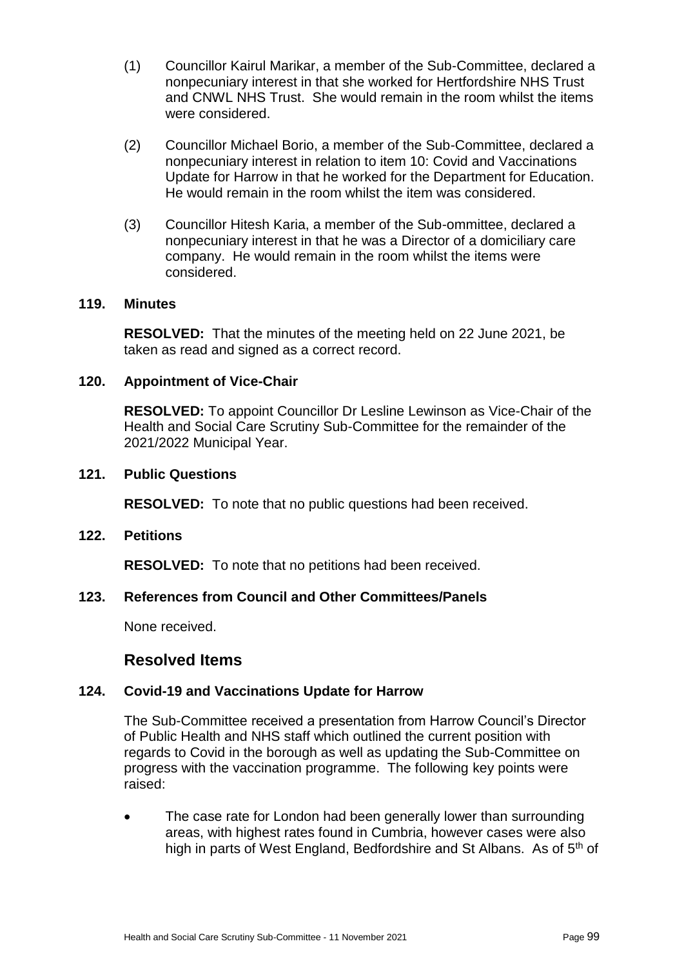- (1) Councillor Kairul Marikar, a member of the Sub-Committee, declared a nonpecuniary interest in that she worked for Hertfordshire NHS Trust and CNWL NHS Trust. She would remain in the room whilst the items were considered.
- (2) Councillor Michael Borio, a member of the Sub-Committee, declared a nonpecuniary interest in relation to item 10: Covid and Vaccinations Update for Harrow in that he worked for the Department for Education. He would remain in the room whilst the item was considered.
- (3) Councillor Hitesh Karia, a member of the Sub-ommittee, declared a nonpecuniary interest in that he was a Director of a domiciliary care company. He would remain in the room whilst the items were considered.

#### **119. Minutes**

**RESOLVED:** That the minutes of the meeting held on 22 June 2021, be taken as read and signed as a correct record.

#### **120. Appointment of Vice-Chair**

**RESOLVED:** To appoint Councillor Dr Lesline Lewinson as Vice-Chair of the Health and Social Care Scrutiny Sub-Committee for the remainder of the 2021/2022 Municipal Year.

#### **121. Public Questions**

**RESOLVED:** To note that no public questions had been received.

#### **122. Petitions**

**RESOLVED:** To note that no petitions had been received.

#### **123. References from Council and Other Committees/Panels**

None received.

#### **Resolved Items**

#### **124. Covid-19 and Vaccinations Update for Harrow**

The Sub-Committee received a presentation from Harrow Council's Director of Public Health and NHS staff which outlined the current position with regards to Covid in the borough as well as updating the Sub-Committee on progress with the vaccination programme. The following key points were raised:

 The case rate for London had been generally lower than surrounding areas, with highest rates found in Cumbria, however cases were also high in parts of West England, Bedfordshire and St Albans. As of 5<sup>th</sup> of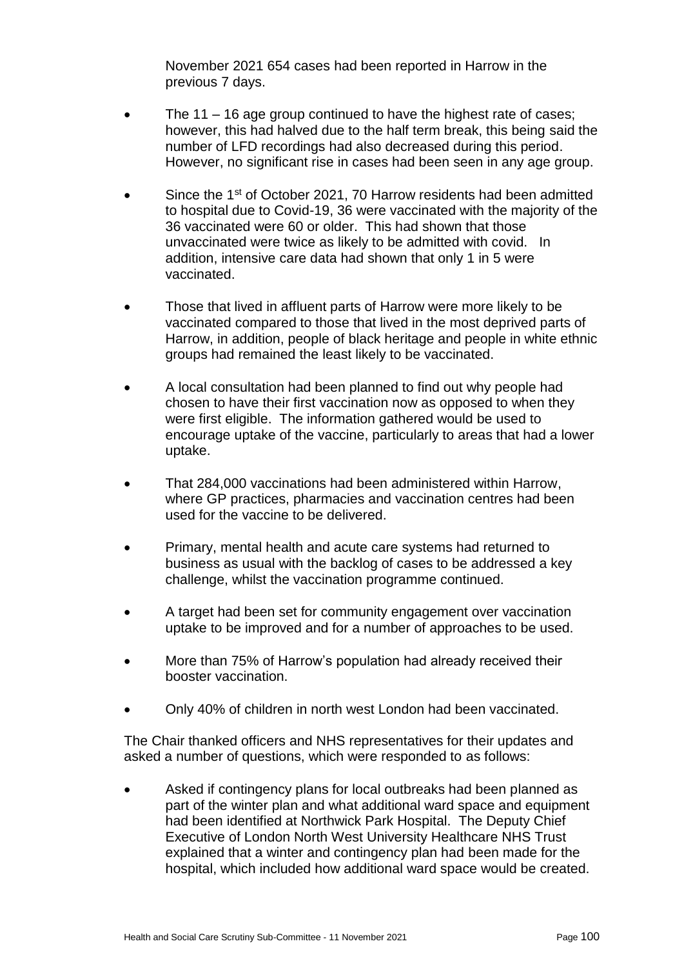November 2021 654 cases had been reported in Harrow in the previous 7 days.

- The 11 16 age group continued to have the highest rate of cases; however, this had halved due to the half term break, this being said the number of LFD recordings had also decreased during this period. However, no significant rise in cases had been seen in any age group.
- Since the 1<sup>st</sup> of October 2021, 70 Harrow residents had been admitted to hospital due to Covid-19, 36 were vaccinated with the majority of the 36 vaccinated were 60 or older. This had shown that those unvaccinated were twice as likely to be admitted with covid. In addition, intensive care data had shown that only 1 in 5 were vaccinated.
- Those that lived in affluent parts of Harrow were more likely to be vaccinated compared to those that lived in the most deprived parts of Harrow, in addition, people of black heritage and people in white ethnic groups had remained the least likely to be vaccinated.
- A local consultation had been planned to find out why people had chosen to have their first vaccination now as opposed to when they were first eligible. The information gathered would be used to encourage uptake of the vaccine, particularly to areas that had a lower uptake.
- That 284,000 vaccinations had been administered within Harrow, where GP practices, pharmacies and vaccination centres had been used for the vaccine to be delivered.
- Primary, mental health and acute care systems had returned to business as usual with the backlog of cases to be addressed a key challenge, whilst the vaccination programme continued.
- A target had been set for community engagement over vaccination uptake to be improved and for a number of approaches to be used.
- More than 75% of Harrow's population had already received their booster vaccination.
- Only 40% of children in north west London had been vaccinated.

The Chair thanked officers and NHS representatives for their updates and asked a number of questions, which were responded to as follows:

 Asked if contingency plans for local outbreaks had been planned as part of the winter plan and what additional ward space and equipment had been identified at Northwick Park Hospital. The Deputy Chief Executive of London North West University Healthcare NHS Trust explained that a winter and contingency plan had been made for the hospital, which included how additional ward space would be created.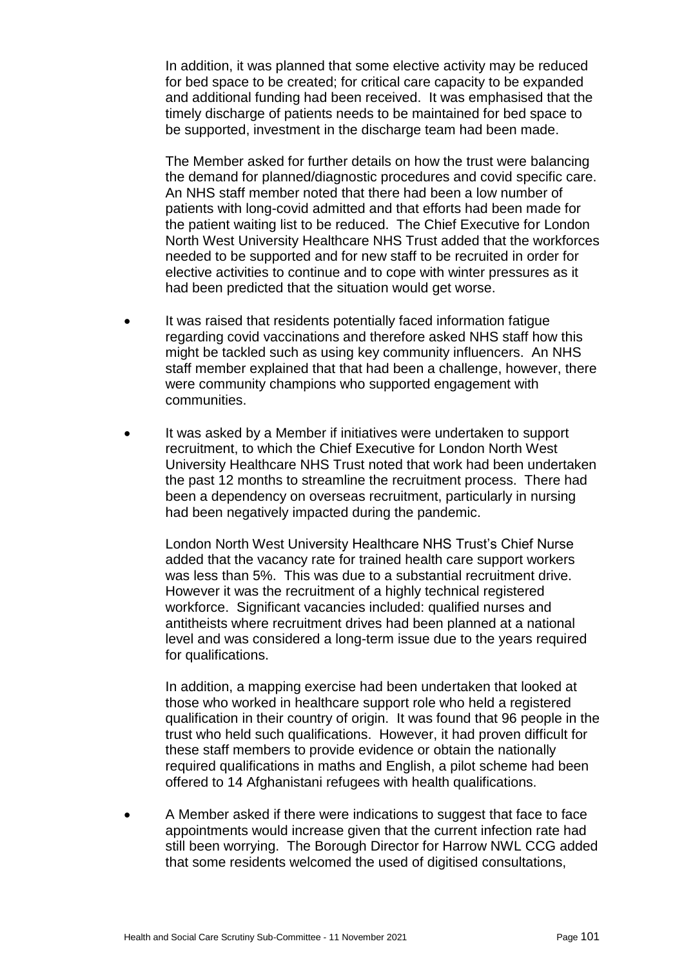In addition, it was planned that some elective activity may be reduced for bed space to be created; for critical care capacity to be expanded and additional funding had been received. It was emphasised that the timely discharge of patients needs to be maintained for bed space to be supported, investment in the discharge team had been made.

The Member asked for further details on how the trust were balancing the demand for planned/diagnostic procedures and covid specific care. An NHS staff member noted that there had been a low number of patients with long-covid admitted and that efforts had been made for the patient waiting list to be reduced. The Chief Executive for London North West University Healthcare NHS Trust added that the workforces needed to be supported and for new staff to be recruited in order for elective activities to continue and to cope with winter pressures as it had been predicted that the situation would get worse.

- It was raised that residents potentially faced information fatigue regarding covid vaccinations and therefore asked NHS staff how this might be tackled such as using key community influencers. An NHS staff member explained that that had been a challenge, however, there were community champions who supported engagement with communities.
- It was asked by a Member if initiatives were undertaken to support recruitment, to which the Chief Executive for London North West University Healthcare NHS Trust noted that work had been undertaken the past 12 months to streamline the recruitment process. There had been a dependency on overseas recruitment, particularly in nursing had been negatively impacted during the pandemic.

London North West University Healthcare NHS Trust's Chief Nurse added that the vacancy rate for trained health care support workers was less than 5%. This was due to a substantial recruitment drive. However it was the recruitment of a highly technical registered workforce. Significant vacancies included: qualified nurses and antitheists where recruitment drives had been planned at a national level and was considered a long-term issue due to the years required for qualifications.

In addition, a mapping exercise had been undertaken that looked at those who worked in healthcare support role who held a registered qualification in their country of origin. It was found that 96 people in the trust who held such qualifications. However, it had proven difficult for these staff members to provide evidence or obtain the nationally required qualifications in maths and English, a pilot scheme had been offered to 14 Afghanistani refugees with health qualifications.

 A Member asked if there were indications to suggest that face to face appointments would increase given that the current infection rate had still been worrying. The Borough Director for Harrow NWL CCG added that some residents welcomed the used of digitised consultations,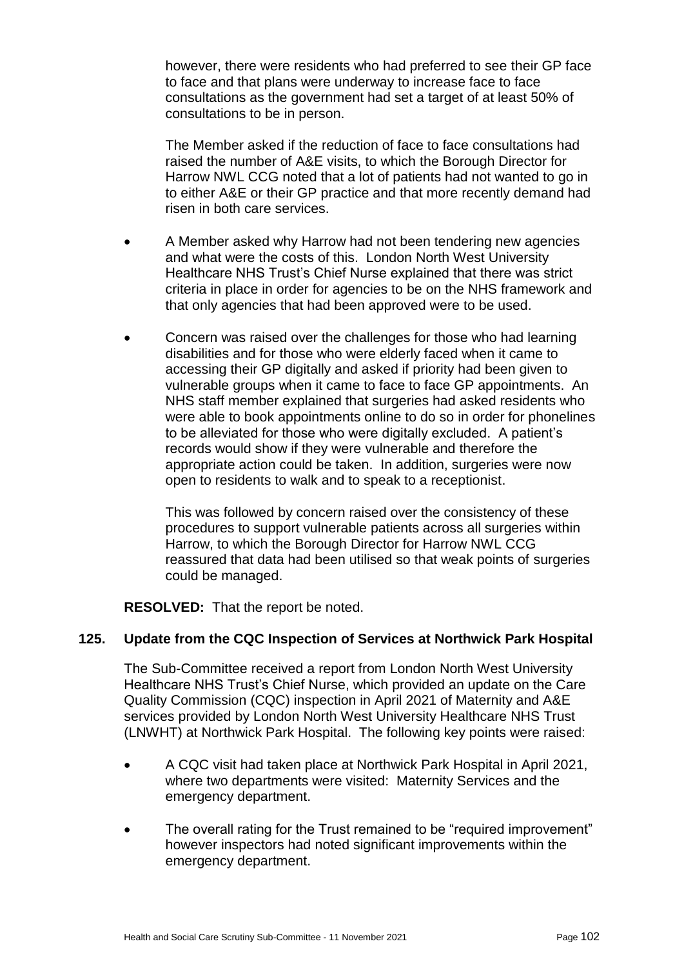however, there were residents who had preferred to see their GP face to face and that plans were underway to increase face to face consultations as the government had set a target of at least 50% of consultations to be in person.

The Member asked if the reduction of face to face consultations had raised the number of A&E visits, to which the Borough Director for Harrow NWL CCG noted that a lot of patients had not wanted to go in to either A&E or their GP practice and that more recently demand had risen in both care services.

- A Member asked why Harrow had not been tendering new agencies and what were the costs of this. London North West University Healthcare NHS Trust's Chief Nurse explained that there was strict criteria in place in order for agencies to be on the NHS framework and that only agencies that had been approved were to be used.
- Concern was raised over the challenges for those who had learning disabilities and for those who were elderly faced when it came to accessing their GP digitally and asked if priority had been given to vulnerable groups when it came to face to face GP appointments. An NHS staff member explained that surgeries had asked residents who were able to book appointments online to do so in order for phonelines to be alleviated for those who were digitally excluded. A patient's records would show if they were vulnerable and therefore the appropriate action could be taken. In addition, surgeries were now open to residents to walk and to speak to a receptionist.

This was followed by concern raised over the consistency of these procedures to support vulnerable patients across all surgeries within Harrow, to which the Borough Director for Harrow NWL CCG reassured that data had been utilised so that weak points of surgeries could be managed.

**RESOLVED:** That the report be noted.

#### **125. Update from the CQC Inspection of Services at Northwick Park Hospital**

The Sub-Committee received a report from London North West University Healthcare NHS Trust's Chief Nurse, which provided an update on the Care Quality Commission (CQC) inspection in April 2021 of Maternity and A&E services provided by London North West University Healthcare NHS Trust (LNWHT) at Northwick Park Hospital. The following key points were raised:

- A CQC visit had taken place at Northwick Park Hospital in April 2021, where two departments were visited: Maternity Services and the emergency department.
- The overall rating for the Trust remained to be "required improvement" however inspectors had noted significant improvements within the emergency department.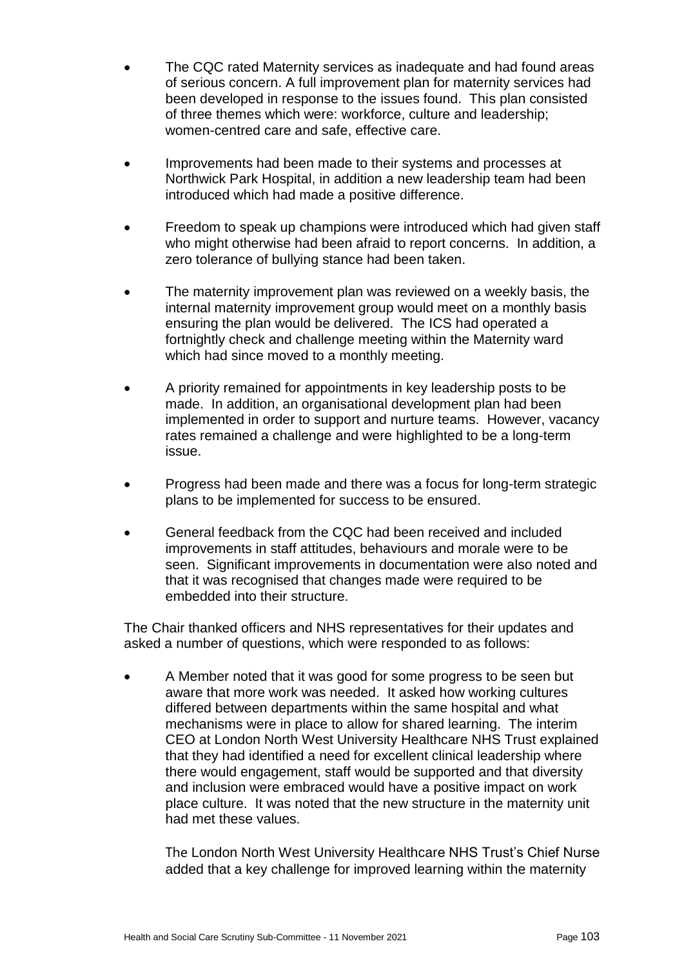- The CQC rated Maternity services as inadequate and had found areas of serious concern. A full improvement plan for maternity services had been developed in response to the issues found. This plan consisted of three themes which were: workforce, culture and leadership; women-centred care and safe, effective care.
- Improvements had been made to their systems and processes at Northwick Park Hospital, in addition a new leadership team had been introduced which had made a positive difference.
- Freedom to speak up champions were introduced which had given staff who might otherwise had been afraid to report concerns. In addition, a zero tolerance of bullying stance had been taken.
- The maternity improvement plan was reviewed on a weekly basis, the internal maternity improvement group would meet on a monthly basis ensuring the plan would be delivered. The ICS had operated a fortnightly check and challenge meeting within the Maternity ward which had since moved to a monthly meeting.
- A priority remained for appointments in key leadership posts to be made. In addition, an organisational development plan had been implemented in order to support and nurture teams. However, vacancy rates remained a challenge and were highlighted to be a long-term issue.
- Progress had been made and there was a focus for long-term strategic plans to be implemented for success to be ensured.
- General feedback from the CQC had been received and included improvements in staff attitudes, behaviours and morale were to be seen. Significant improvements in documentation were also noted and that it was recognised that changes made were required to be embedded into their structure.

The Chair thanked officers and NHS representatives for their updates and asked a number of questions, which were responded to as follows:

 A Member noted that it was good for some progress to be seen but aware that more work was needed. It asked how working cultures differed between departments within the same hospital and what mechanisms were in place to allow for shared learning. The interim CEO at London North West University Healthcare NHS Trust explained that they had identified a need for excellent clinical leadership where there would engagement, staff would be supported and that diversity and inclusion were embraced would have a positive impact on work place culture. It was noted that the new structure in the maternity unit had met these values.

The London North West University Healthcare NHS Trust's Chief Nurse added that a key challenge for improved learning within the maternity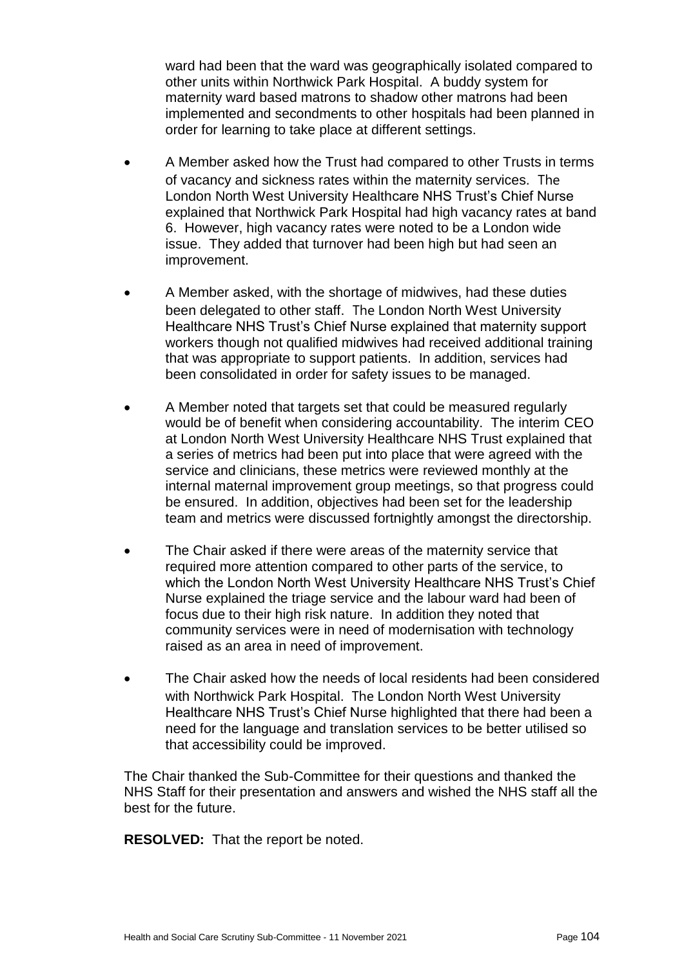ward had been that the ward was geographically isolated compared to other units within Northwick Park Hospital. A buddy system for maternity ward based matrons to shadow other matrons had been implemented and secondments to other hospitals had been planned in order for learning to take place at different settings.

- A Member asked how the Trust had compared to other Trusts in terms of vacancy and sickness rates within the maternity services. The London North West University Healthcare NHS Trust's Chief Nurse explained that Northwick Park Hospital had high vacancy rates at band 6. However, high vacancy rates were noted to be a London wide issue. They added that turnover had been high but had seen an improvement.
- A Member asked, with the shortage of midwives, had these duties been delegated to other staff. The London North West University Healthcare NHS Trust's Chief Nurse explained that maternity support workers though not qualified midwives had received additional training that was appropriate to support patients. In addition, services had been consolidated in order for safety issues to be managed.
- A Member noted that targets set that could be measured regularly would be of benefit when considering accountability. The interim CEO at London North West University Healthcare NHS Trust explained that a series of metrics had been put into place that were agreed with the service and clinicians, these metrics were reviewed monthly at the internal maternal improvement group meetings, so that progress could be ensured. In addition, objectives had been set for the leadership team and metrics were discussed fortnightly amongst the directorship.
- The Chair asked if there were areas of the maternity service that required more attention compared to other parts of the service, to which the London North West University Healthcare NHS Trust's Chief Nurse explained the triage service and the labour ward had been of focus due to their high risk nature. In addition they noted that community services were in need of modernisation with technology raised as an area in need of improvement.
- The Chair asked how the needs of local residents had been considered with Northwick Park Hospital. The London North West University Healthcare NHS Trust's Chief Nurse highlighted that there had been a need for the language and translation services to be better utilised so that accessibility could be improved.

The Chair thanked the Sub-Committee for their questions and thanked the NHS Staff for their presentation and answers and wished the NHS staff all the best for the future.

**RESOLVED:** That the report be noted.